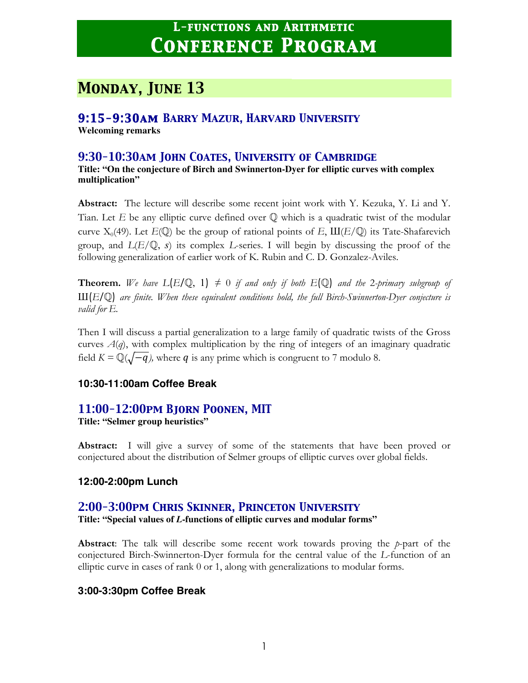# *Monday, June 13*

## *9:15-9:30am Barry Mazur, Harvard University*

**Welcoming remarks**

### *9:30-10:30am John Coates, University of Cambridge*

**Title: "On the conjecture of Birch and Swinnerton-Dyer for elliptic curves with complex multiplication"**

**Abstract:** The lecture will describe some recent joint work with Y. Kezuka, Y. Li and Y. Tian. Let *E* be any elliptic curve defined over Q which is a quadratic twist of the modular curve  $X_0(49)$ . Let  $E(\mathbb{Q})$  be the group of rational points of *E*,  $III(E/\mathbb{Q})$  its Tate-Shafarevich group, and *L*(*E*/Q, *s*) its complex *L*-series. I will begin by discussing the proof of the following generalization of earlier work of K. Rubin and C. D. Gonzalez-Aviles.

**Theorem.** We have  $L(E/\mathbb{Q}, 1) \neq 0$  if and only if both  $E(\mathbb{Q})$  and the 2-primary subgroup of Ш(*E*/Q) *are finite. When these equivalent conditions hold, the full Birch-Swinnerton-Dyer conjecture is valid for E.*

Then I will discuss a partial generalization to a large family of quadratic twists of the Gross curves  $A(q)$ , with complex multiplication by the ring of integers of an imaginary quadratic field  $K = \mathbb{Q}(\sqrt{-q})$ , where q is any prime which is congruent to 7 modulo 8.

#### **10:30-11:00am Coffee Break**

# *11:00-12:00pm Bjorn Poonen, MIT*

**Title: "Selmer group heuristics"**

**Abstract:** I will give a survey of some of the statements that have been proved or conjectured about the distribution of Selmer groups of elliptic curves over global fields.

#### **12:00-2:00pm Lunch**

## *2:00-3:00pm Chris Skinner, Princeton University*

**Title: "Special values of** *L***-functions of elliptic curves and modular forms"**

**Abstract**: The talk will describe some recent work towards proving the *p*-part of the conjectured Birch-Swinnerton-Dyer formula for the central value of the *L*-function of an elliptic curve in cases of rank 0 or 1, along with generalizations to modular forms.

## **3:00-3:30pm Coffee Break**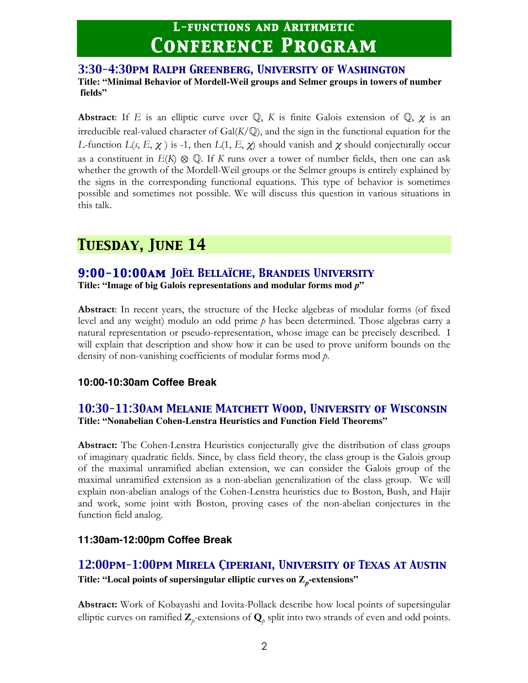#### *3:30-4:30pm Ralph Greenberg, University of Washington* **Title: "Minimal Behavior of Mordell-Weil groups and Selmer groups in towers of number fields"**

**Abstract**: If *E* is an elliptic curve over  $\mathbb{Q}$ , *K* is finite Galois extension of  $\mathbb{Q}$ ,  $\chi$  is an irreducible real-valued character of  $Gal(K/\mathbb{Q})$ , and the sign in the functional equation for the *L*-function  $L(s, E, \chi)$  is -1, then  $L(1, E, \chi)$  should vanish and  $\chi$  should conjecturally occur as a constituent in  $E(K) \otimes \mathbb{Q}$ . If *K* runs over a tower of number fields, then one can ask whether the growth of the Mordell-Weil groups or the Selmer groups is entirely explained by the signs in the corresponding functional equations. This type of behavior is sometimes possible and sometimes not possible. We will discuss this question in various situations in this talk.

# *Tuesday, June 14*

# *9:00-10:00am Joël Bellaïche, Brandeis University*

**Title: "Image of big Galois representations and modular forms mod** *p***"**

**Abstract**: In recent years, the structure of the Hecke algebras of modular forms (of fixed level and any weight) modulo an odd prime *p* has been determined. Those algebras carry a natural representation or pseudo-representation, whose image can be precisely described. I will explain that description and show how it can be used to prove uniform bounds on the density of non-vanishing coefficients of modular forms mod *p*.

## **10:00-10:30am Coffee Break**

## *10:30-11:30am Melanie Matchett Wood, University of Wisconsin* **Title: "Nonabelian Cohen-Lenstra Heuristics and Function Field Theorems"**

**Abstract:** The Cohen-Lenstra Heuristics conjecturally give the distribution of class groups of imaginary quadratic fields. Since, by class field theory, the class group is the Galois group of the maximal unramified abelian extension, we can consider the Galois group of the maximal unramified extension as a non-abelian generalization of the class group. We will explain non-abelian analogs of the Cohen-Lenstra heuristics due to Boston, Bush, and Hajir and work, some joint with Boston, proving cases of the non-abelian conjectures in the function field analog.

## **11:30am-12:00pm Coffee Break**

# *12:00pm-1:00pm Mirela Çiperiani, University of Texas at Austin*

**Title: "Local points of supersingular elliptic curves on Z***p***-extensions"**

**Abstract:** Work of Kobayashi and Iovita-Pollack describe how local points of supersingular elliptic curves on ramified  $\mathbf{Z}_p$ -extensions of  $\mathbf{Q}_p$  split into two strands of even and odd points.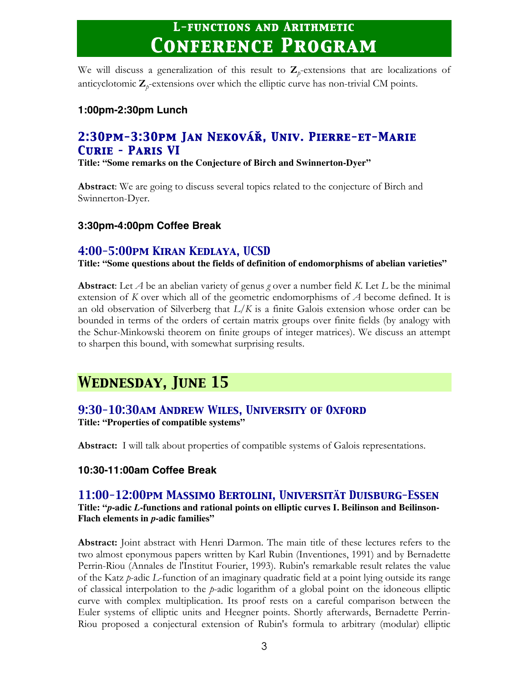We will discuss a generalization of this result to  $\mathbb{Z}_p$ -extensions that are localizations of anticyclotomic  $\mathbf{Z}_p$ -extensions over which the elliptic curve has non-trivial CM points.

#### **1:00pm-2:30pm Lunch**

# *2:30pm-3:30pm Jan Nekovář, Univ. Pierre-et-Marie Curie – Paris VI*

**Title: "Some remarks on the Conjecture of Birch and Swinnerton-Dyer"**

**Abstract**: We are going to discuss several topics related to the conjecture of Birch and Swinnerton-Dyer.

#### **3:30pm-4:00pm Coffee Break**

## *4:00-5:00pm Kiran Kedlaya, UCSD*

**Title: "Some questions about the fields of definition of endomorphisms of abelian varieties"**

**Abstract**: Let *A* be an abelian variety of genus *g* over a number field *K*. Let *L* be the minimal extension of *K* over which all of the geometric endomorphisms of *A* become defined. It is an old observation of Silverberg that *L*/*K* is a finite Galois extension whose order can be bounded in terms of the orders of certain matrix groups over finite fields (by analogy with the Schur-Minkowski theorem on finite groups of integer matrices). We discuss an attempt to sharpen this bound, with somewhat surprising results.

# *Wednesday, June 15*

# *9:30-10:30am Andrew Wiles, University of Oxford*

**Title: "Properties of compatible systems"**

**Abstract:** I will talk about properties of compatible systems of Galois representations.

#### **10:30-11:00am Coffee Break**

## *11:00-12:00pm Massimo Bertolini, Universität Duisburg-Essen*

**Title: "***p***-adic** *L***-functions and rational points on elliptic curves I. Beilinson and Beilinson-Flach elements in** *p***-adic families"**

**Abstract:** Joint abstract with Henri Darmon. The main title of these lectures refers to the two almost eponymous papers written by Karl Rubin (Inventiones, 1991) and by Bernadette Perrin-Riou (Annales de l'Institut Fourier, 1993). Rubin's remarkable result relates the value of the Katz *p*-adic *L*-function of an imaginary quadratic field at a point lying outside its range of classical interpolation to the *p*-adic logarithm of a global point on the idoneous elliptic curve with complex multiplication. Its proof rests on a careful comparison between the Euler systems of elliptic units and Heegner points. Shortly afterwards, Bernadette Perrin-Riou proposed a conjectural extension of Rubin's formula to arbitrary (modular) elliptic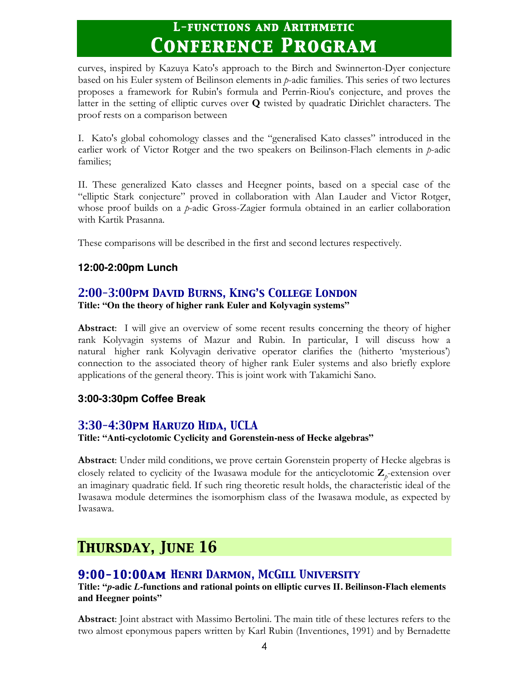curves, inspired by Kazuya Kato's approach to the Birch and Swinnerton-Dyer conjecture based on his Euler system of Beilinson elements in *p*-adic families. This series of two lectures proposes a framework for Rubin's formula and Perrin-Riou's conjecture, and proves the latter in the setting of elliptic curves over **Q** twisted by quadratic Dirichlet characters. The proof rests on a comparison between

I. Kato's global cohomology classes and the "generalised Kato classes" introduced in the earlier work of Victor Rotger and the two speakers on Beilinson-Flach elements in *p*-adic families;

II. These generalized Kato classes and Heegner points, based on a special case of the "elliptic Stark conjecture" proved in collaboration with Alan Lauder and Victor Rotger, whose proof builds on a *p*-adic Gross-Zagier formula obtained in an earlier collaboration with Kartik Prasanna.

These comparisons will be described in the first and second lectures respectively.

## **12:00-2:00pm Lunch**

# *2:00-3:00pm David Burns, King's College London*

**Title: "On the theory of higher rank Euler and Kolyvagin systems"**

**Abstract**: I will give an overview of some recent results concerning the theory of higher rank Kolyvagin systems of Mazur and Rubin. In particular, I will discuss how a natural higher rank Kolyvagin derivative operator clarifies the (hitherto 'mysterious') connection to the associated theory of higher rank Euler systems and also briefly explore applications of the general theory. This is joint work with Takamichi Sano.

## **3:00-3:30pm Coffee Break**

# *3:30-4:30pm Haruzo Hida, UCLA*

**Title: "Anti-cyclotomic Cyclicity and Gorenstein-ness of Hecke algebras"**

**Abstract**: Under mild conditions, we prove certain Gorenstein property of Hecke algebras is closely related to cyclicity of the Iwasawa module for the anticyclotomic  $\mathbf{Z}_p$ -extension over an imaginary quadratic field. If such ring theoretic result holds, the characteristic ideal of the Iwasawa module determines the isomorphism class of the Iwasawa module, as expected by Iwasawa.

# *Thursday, June 16*

# *9:00-10:00am Henri Darmon, McGill University*

**Title: "***p***-adic** *L***-functions and rational points on elliptic curves II. Beilinson-Flach elements and Heegner points"**

**Abstract**: Joint abstract with Massimo Bertolini. The main title of these lectures refers to the two almost eponymous papers written by Karl Rubin (Inventiones, 1991) and by Bernadette